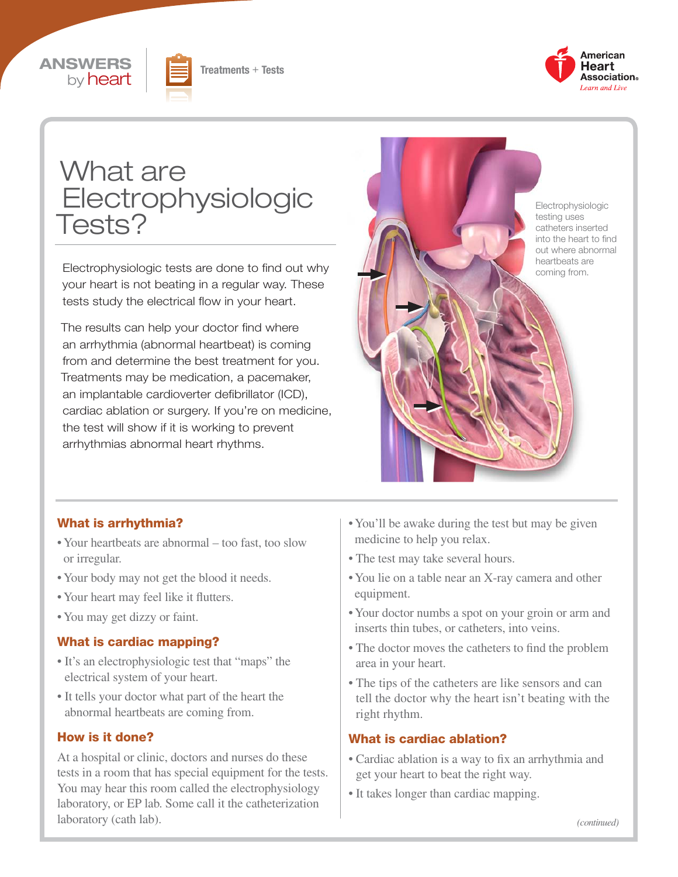





# What are Electrophysiologic Tests?

Electrophysiologic tests are done to find out why your heart is not beating in a regular way. These tests study the electrical flow in your heart.

The results can help your doctor find where an arrhythmia (abnormal heartbeat) is coming from and determine the best treatment for you. Treatments may be medication, a pacemaker, an implantable cardioverter defibrillator (ICD), cardiac ablation or surgery. If you're on medicine, the test will show if it is working to prevent arrhythmias abnormal heart rhythms.



#### What is arrhythmia?

- Your heartbeats are abnormal too fast, too slow or irregular.
- Your body may not get the blood it needs.
- Your heart may feel like it flutters.
- You may get dizzy or faint.

#### What is cardiac mapping?

- It's an electrophysiologic test that "maps" the electrical system of your heart.
- It tells your doctor what part of the heart the abnormal heartbeats are coming from.

#### How is it done?

At a hospital or clinic, doctors and nurses do these tests in a room that has special equipment for the tests. You may hear this room called the electrophysiology laboratory, or EP lab. Some call it the catheterization laboratory (cath lab).

- You'll be awake during the test but may be given medicine to help you relax.
- The test may take several hours.
- You lie on a table near an X-ray camera and other equipment.
- Your doctor numbs a spot on your groin or arm and inserts thin tubes, or catheters, into veins.
- The doctor moves the catheters to find the problem area in your heart.
- The tips of the catheters are like sensors and can tell the doctor why the heart isn't beating with the right rhythm.

#### What is cardiac ablation?

- Cardiac ablation is a way to fix an arrhythmia and get your heart to beat the right way.
- It takes longer than cardiac mapping.